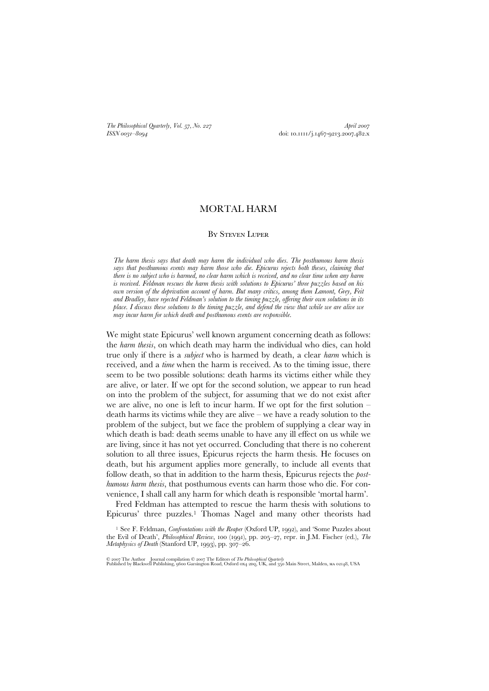*The Philosophical Quarterly, Vol.* 57, *No.* 227 *April 2007 ISSN 0031-8094* doi: 10.1111/1.1467-9213.2007.482.x

# MORTAL HARM

# **BY STEVEN LUPER**

*The harm thesis says that death may harm the individual who dies. The posthumous harm thesis says that posthumous events may harm those who die. Epicurus rejects both theses, claiming that there is no subject who is harmed, no clear harm which is received, and no clear time when any harm is received. Feldman rescues the harm thesis with solutions to Epicurus' three puzzles based on his own version of the deprivation account of harm. But many critics, among them Lamont, Grey, Feit and Bradley, have rejected Feldman's solution to the timing puzzle, offering their own solutions in its place. I discuss these solutions to the timing puzzle, and defend the view that while we are alive we may incur harm for which death and posthumous events are responsible.*

We might state Epicurus' well known argument concerning death as follows: the *harm thesis*, on which death may harm the individual who dies, can hold true only if there is a *subject* who is harmed by death, a clear *harm* which is received, and a *time* when the harm is received. As to the timing issue, there seem to be two possible solutions: death harms its victims either while they are alive, or later. If we opt for the second solution, we appear to run head on into the problem of the subject, for assuming that we do not exist after we are alive, no one is left to incur harm. If we opt for the first solution – death harms its victims while they are alive – we have a ready solution to the problem of the subject, but we face the problem of supplying a clear way in which death is bad: death seems unable to have any ill effect on us while we are living, since it has not yet occurred. Concluding that there is no coherent solution to all three issues, Epicurus rejects the harm thesis. He focuses on death, but his argument applies more generally, to include all events that follow death, so that in addition to the harm thesis, Epicurus rejects the *posthumous harm thesis*, that posthumous events can harm those who die. For convenience, I shall call any harm for which death is responsible 'mortal harm'.

Fred Feldman has attempted to rescue the harm thesis with solutions to Epicurus' three puzzles.1 Thomas Nagel and many other theorists had

© 2007 The Author Journal compilation © 2007 The Editors of *The Philosophical Quarterly*<br>Published by Blackwell Publishing, 9600 Garsington Road, Oxford 0x4 200, UK, and 350 Main Street, Malden, ма 02148, USA

<sup>&</sup>lt;sup>1</sup> See F. Feldman, *Confrontations with the Reaper* (Oxford UP, 1992), and 'Some Puzzles about the Evil of Death', *Philosophical Review*, 100 (1991), pp. 205–27, repr. in J.M. Fischer (ed.), *The Metaphysics of Death* (Stanford UP, 1993), pp. 307-26.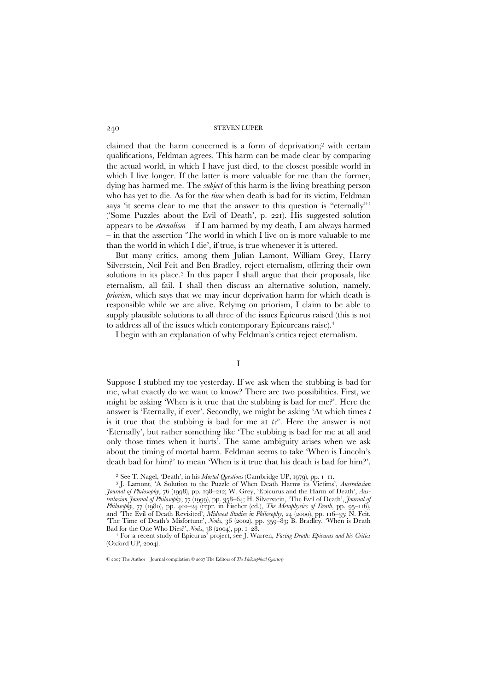claimed that the harm concerned is a form of deprivation;2 with certain qualifications, Feldman agrees. This harm can be made clear by comparing the actual world, in which I have just died, to the closest possible world in which I live longer. If the latter is more valuable for me than the former, dying has harmed me. The *subject* of this harm is the living breathing person who has yet to die. As for the *time* when death is bad for its victim, Feldman says 'it seems clear to me that the answer to this question is "eternally"' ('Some Puzzles about the Evil of Death', p. 221). His suggested solution appears to be *eternalism* – if I am harmed by my death, I am always harmed – in that the assertion 'The world in which I live on is more valuable to me than the world in which I die', if true, is true whenever it is uttered.

But many critics, among them Julian Lamont, William Grey, Harry Silverstein, Neil Feit and Ben Bradley, reject eternalism, offering their own solutions in its place.3 In this paper I shall argue that their proposals, like eternalism, all fail. I shall then discuss an alternative solution, namely, *priorism*, which says that we may incur deprivation harm for which death is responsible while we are alive. Relying on priorism, I claim to be able to supply plausible solutions to all three of the issues Epicurus raised (this is not to address all of the issues which contemporary Epicureans raise).4

I begin with an explanation of why Feldman's critics reject eternalism.

# I

Suppose I stubbed my toe yesterday. If we ask when the stubbing is bad for me, what exactly do we want to know? There are two possibilities. First, we might be asking 'When is it true that the stubbing is bad for me?'. Here the answer is 'Eternally, if ever'. Secondly, we might be asking 'At which times *t* is it true that the stubbing is bad for me at *t*?'. Here the answer is not 'Eternally', but rather something like 'The stubbing is bad for me at all and only those times when it hurts'. The same ambiguity arises when we ask about the timing of mortal harm. Feldman seems to take 'When is Lincoln's death bad for him?' to mean 'When is it true that his death is bad for him?'.

<sup>2</sup> See T. Nagel, 'Death', in his *Mortal Questions* (Cambridge UP, 1979), pp. 1–11.

<sup>4</sup> For a recent study of Epicurus' project, see J. Warren, *Facing Death: Epicurus and his Critics*  $(Oxford UP, 2004).$ 

© 2007 The Author Journal compilation © 2007 The Editors of *The Philosophical Quarterly* 

<sup>3</sup> J. Lamont, 'A Solution to the Puzzle of When Death Harms its Victims', *Australasian Journal of Philosophy*, 76 (1998), pp. 198–212; W. Grey, 'Epicurus and the Harm of Death', *Australasian Journal of Philosophy*, (), pp. –; H. Silverstein, 'The Evil of Death', *Journal of*  $Philosophy, 77$  (1980), pp. 401–24 (repr. in Fischer (ed.), *The Metaphysics of Death*, pp. 95–116), and 'The Evil of Death Revisited', *Midwest Studies in Philosophy*, 24 (2000), pp. 116–35; N. Feit, 'The Time of Death's Misfortune', *Noûs*, 36 (2002), pp. 359–83; B. Bradley, 'When is Death Bad for the One Who Dies?', *Noûs*, 38 (2004), pp. 1–28.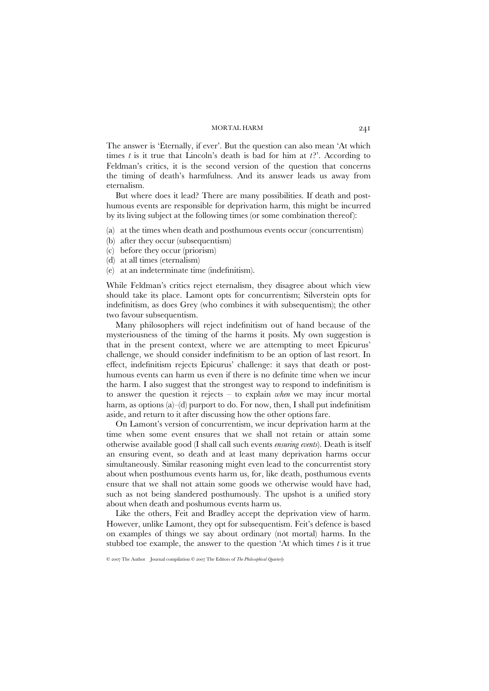The answer is 'Eternally, if ever'. But the question can also mean 'At which times *t* is it true that Lincoln's death is bad for him at  $t$ ?'. According to Feldman's critics, it is the second version of the question that concerns the timing of death's harmfulness. And its answer leads us away from eternalism.

But where does it lead? There are many possibilities. If death and posthumous events are responsible for deprivation harm, this might be incurred by its living subject at the following times (or some combination thereof):

- (a) at the times when death and posthumous events occur (concurrentism)
- (b) after they occur (subsequentism)
- (c) before they occur (priorism)
- (d) at all times (eternalism)
- (e) at an indeterminate time (indefinitism).

While Feldman's critics reject eternalism, they disagree about which view should take its place. Lamont opts for concurrentism; Silverstein opts for indefinitism, as does Grey (who combines it with subsequentism); the other two favour subsequentism.

Many philosophers will reject indefinitism out of hand because of the mysteriousness of the timing of the harms it posits. My own suggestion is that in the present context, where we are attempting to meet Epicurus' challenge, we should consider indefinitism to be an option of last resort. In effect, indefinitism rejects Epicurus' challenge: it says that death or posthumous events can harm us even if there is no definite time when we incur the harm. I also suggest that the strongest way to respond to indefinitism is to answer the question it rejects – to explain *when* we may incur mortal harm, as options  $(a)$ –(d) purport to do. For now, then, I shall put indefinitism aside, and return to it after discussing how the other options fare.

On Lamont's version of concurrentism, we incur deprivation harm at the time when some event ensures that we shall not retain or attain some otherwise available good (I shall call such events *ensuring events*). Death is itself an ensuring event, so death and at least many deprivation harms occur simultaneously. Similar reasoning might even lead to the concurrentist story about when posthumous events harm us, for, like death, posthumous events ensure that we shall not attain some goods we otherwise would have had, such as not being slandered posthumously. The upshot is a unified story about when death and poshumous events harm us.

Like the others, Feit and Bradley accept the deprivation view of harm. However, unlike Lamont, they opt for subsequentism. Feit's defence is based on examples of things we say about ordinary (not mortal) harms. In the stubbed toe example, the answer to the question 'At which times *t* is it true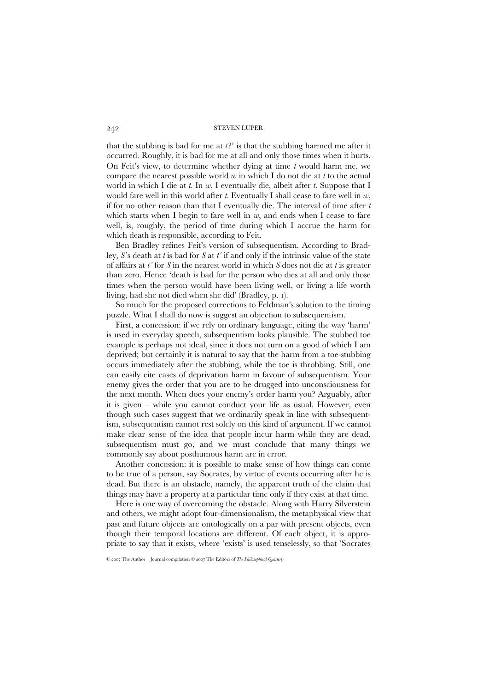that the stubbing is bad for me at *t*?' is that the stubbing harmed me after it occurred. Roughly, it is bad for me at all and only those times when it hurts. On Feit's view, to determine whether dying at time *t* would harm me, we compare the nearest possible world *w* in which I do not die at *t* to the actual world in which I die at *t*. In *w*, I eventually die, albeit after *t*. Suppose that I would fare well in this world after *t*. Eventually I shall cease to fare well in *w*, if for no other reason than that I eventually die. The interval of time after *t* which starts when I begin to fare well in  $w$ , and ends when I cease to fare well, is, roughly, the period of time during which I accrue the harm for which death is responsible, according to Feit.

Ben Bradley refines Feit's version of subsequentism. According to Bradley, *S*'s death at *t* is bad for *S* at *t´* if and only if the intrinsic value of the state of affairs at *t´* for *S* in the nearest world in which *S* does not die at *t* is greater than zero. Hence 'death is bad for the person who dies at all and only those times when the person would have been living well, or living a life worth living, had she not died when she did' (Bradley, p. ).

So much for the proposed corrections to Feldman's solution to the timing puzzle. What I shall do now is suggest an objection to subsequentism.

First, a concession: if we rely on ordinary language, citing the way 'harm' is used in everyday speech, subsequentism looks plausible. The stubbed toe example is perhaps not ideal, since it does not turn on a good of which I am deprived; but certainly it is natural to say that the harm from a toe-stubbing occurs immediately after the stubbing, while the toe is throbbing. Still, one can easily cite cases of deprivation harm in favour of subsequentism. Your enemy gives the order that you are to be drugged into unconsciousness for the next month. When does your enemy's order harm you? Arguably, after it is given – while you cannot conduct your life as usual. However, even though such cases suggest that we ordinarily speak in line with subsequentism, subsequentism cannot rest solely on this kind of argument. If we cannot make clear sense of the idea that people incur harm while they are dead, subsequentism must go, and we must conclude that many things we commonly say about posthumous harm are in error.

Another concession: it is possible to make sense of how things can come to be true of a person, say Socrates, by virtue of events occurring after he is dead. But there is an obstacle, namely, the apparent truth of the claim that things may have a property at a particular time only if they exist at that time.

Here is one way of overcoming the obstacle. Along with Harry Silverstein and others, we might adopt four-dimensionalism, the metaphysical view that past and future objects are ontologically on a par with present objects, even though their temporal locations are different. Of each object, it is appropriate to say that it exists, where 'exists' is used tenselessly, so that 'Socrates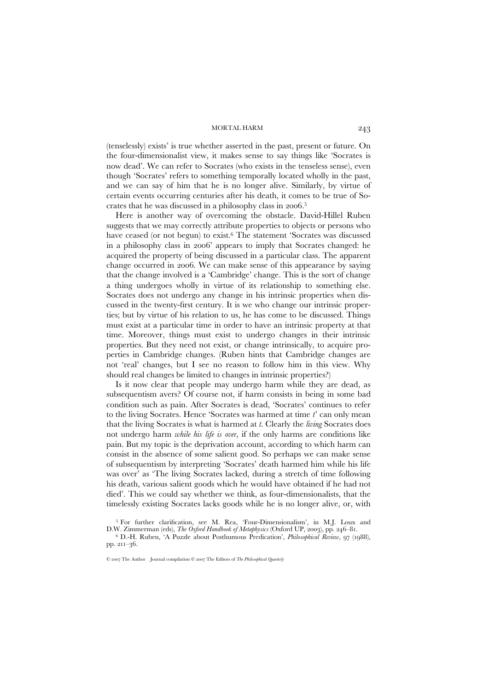(tenselessly) exists' is true whether asserted in the past, present or future. On the four-dimensionalist view, it makes sense to say things like 'Socrates is now dead'. We can refer to Socrates (who exists in the tenseless sense), even though 'Socrates' refers to something temporally located wholly in the past, and we can say of him that he is no longer alive. Similarly, by virtue of certain events occurring centuries after his death, it comes to be true of Socrates that he was discussed in a philosophy class in  $2006$ <sup>5</sup>

Here is another way of overcoming the obstacle. David-Hillel Ruben suggests that we may correctly attribute properties to objects or persons who have ceased (or not begun) to exist.<sup>6</sup> The statement 'Socrates was discussed in a philosophy class in 2006' appears to imply that Socrates changed: he acquired the property of being discussed in a particular class. The apparent change occurred in 2006. We can make sense of this appearance by saying that the change involved is a 'Cambridge' change. This is the sort of change a thing undergoes wholly in virtue of its relationship to something else. Socrates does not undergo any change in his intrinsic properties when discussed in the twenty-first century. It is we who change our intrinsic properties; but by virtue of his relation to us, he has come to be discussed. Things must exist at a particular time in order to have an intrinsic property at that time. Moreover, things must exist to undergo changes in their intrinsic properties. But they need not exist, or change intrinsically, to acquire properties in Cambridge changes. (Ruben hints that Cambridge changes are not 'real' changes, but I see no reason to follow him in this view. Why should real changes be limited to changes in intrinsic properties?)

Is it now clear that people may undergo harm while they are dead, as subsequentism avers? Of course not, if harm consists in being in some bad condition such as pain. After Socrates is dead, 'Socrates' continues to refer to the living Socrates. Hence 'Socrates was harmed at time *t*' can only mean that the living Socrates is what is harmed at *t*. Clearly the *living* Socrates does not undergo harm *while his life is over*, if the only harms are conditions like pain. But my topic is the deprivation account, according to which harm can consist in the absence of some salient good. So perhaps we can make sense of subsequentism by interpreting 'Socrates' death harmed him while his life was over' as 'The living Socrates lacked, during a stretch of time following his death, various salient goods which he would have obtained if he had not died'. This we could say whether we think, as four-dimensionalists, that the timelessly existing Socrates lacks goods while he is no longer alive, or, with

<sup>5</sup> For further clarification, see M. Rea, 'Four-Dimensionalism', in M.J. Loux and D.W. Zimmerman (eds), *The Oxford Handbook of Metaphysics* (Oxford UP, 2003), pp. 246-81.

<sup>&</sup>lt;sup>6</sup> D.-H. Ruben, 'A Puzzle about Posthumous Predication', *Philosophical Review*, 97 (1988), pp.  $211-36$ .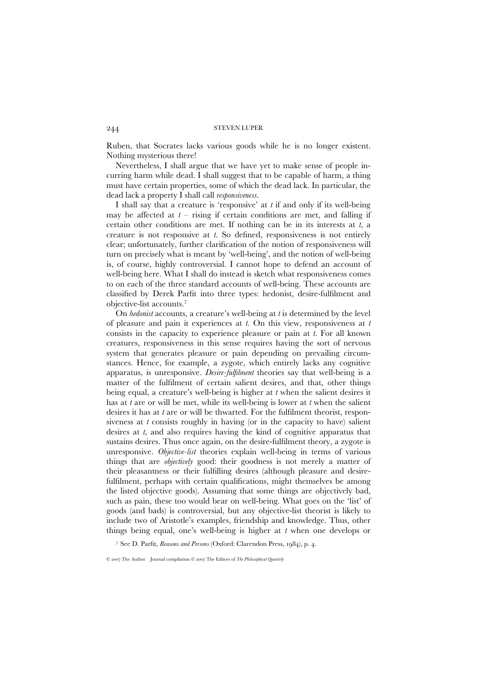Ruben, that Socrates lacks various goods while he is no longer existent. Nothing mysterious there!

Nevertheless, I shall argue that we have yet to make sense of people incurring harm while dead. I shall suggest that to be capable of harm, a thing must have certain properties, some of which the dead lack. In particular, the dead lack a property I shall call *responsiveness*.

I shall say that a creature is 'responsive' at *t* if and only if its well-being may be affected at  $t -$  rising if certain conditions are met, and falling if certain other conditions are met. If nothing can be in its interests at *t*, a creature is not responsive at *t*. So defined, responsiveness is not entirely clear; unfortunately, further clarification of the notion of responsiveness will turn on precisely what is meant by 'well-being', and the notion of well-being is, of course, highly controversial. I cannot hope to defend an account of well-being here. What I shall do instead is sketch what responsiveness comes to on each of the three standard accounts of well-being. These accounts are classified by Derek Parfit into three types: hedonist, desire-fulfilment and objective-list accounts.7

On *hedonist* accounts, a creature's well-being at *t* is determined by the level of pleasure and pain it experiences at *t*. On this view, responsiveness at *t* consists in the capacity to experience pleasure or pain at *t*. For all known creatures, responsiveness in this sense requires having the sort of nervous system that generates pleasure or pain depending on prevailing circumstances. Hence, for example, a zygote, which entirely lacks any cognitive apparatus, is unresponsive. *Desire-fulfilment* theories say that well-being is a matter of the fulfilment of certain salient desires, and that, other things being equal, a creature's well-being is higher at *t* when the salient desires it has at *t* are or will be met, while its well-being is lower at *t* when the salient desires it has at *t* are or will be thwarted. For the fulfilment theorist, responsiveness at *t* consists roughly in having (or in the capacity to have) salient desires at *t*, and also requires having the kind of cognitive apparatus that sustains desires. Thus once again, on the desire-fulfilment theory, a zygote is unresponsive. *Objective-list* theories explain well-being in terms of various things that are *objectively* good: their goodness is not merely a matter of their pleasantness or their fulfilling desires (although pleasure and desirefulfilment, perhaps with certain qualifications, might themselves be among the listed objective goods). Assuming that some things are objectively bad, such as pain, these too would bear on well-being. What goes on the 'list' of goods (and bads) is controversial, but any objective-list theorist is likely to include two of Aristotle's examples, friendship and knowledge. Thus, other things being equal, one's well-being is higher at *t* when one develops or

<sup>7</sup> See D. Parfit, *Reasons and Persons* (Oxford: Clarendon Press, 1984), p. 4.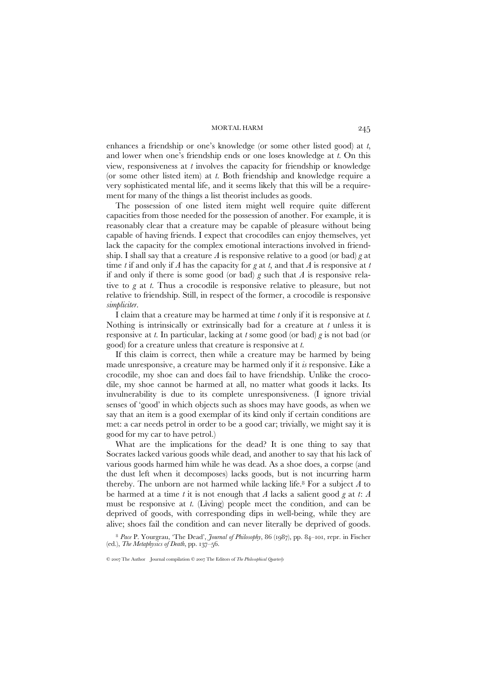enhances a friendship or one's knowledge (or some other listed good) at *t*, and lower when one's friendship ends or one loses knowledge at *t*. On this view, responsiveness at *t* involves the capacity for friendship or knowledge (or some other listed item) at *t*. Both friendship and knowledge require a very sophisticated mental life, and it seems likely that this will be a requirement for many of the things a list theorist includes as goods.

The possession of one listed item might well require quite different capacities from those needed for the possession of another. For example, it is reasonably clear that a creature may be capable of pleasure without being capable of having friends. I expect that crocodiles can enjoy themselves, yet lack the capacity for the complex emotional interactions involved in friendship. I shall say that a creature A is responsive relative to a good (or bad) g at time *t* if and only if *A* has the capacity for *g* at *t*, and that *A* is responsive at *t* if and only if there is some good (or bad) *g* such that *A* is responsive relative to *g* at *t*. Thus a crocodile is responsive relative to pleasure, but not relative to friendship. Still, in respect of the former, a crocodile is responsive *simpliciter*.

I claim that a creature may be harmed at time *t* only if it is responsive at *t*. Nothing is intrinsically or extrinsically bad for a creature at *t* unless it is responsive at *t*. In particular, lacking at *t* some good (or bad) *g* is not bad (or good) for a creature unless that creature is responsive at *t*.

If this claim is correct, then while a creature may be harmed by being made unresponsive, a creature may be harmed only if it *is* responsive. Like a crocodile, my shoe can and does fail to have friendship. Unlike the crocodile, my shoe cannot be harmed at all, no matter what goods it lacks. Its invulnerability is due to its complete unresponsiveness. (I ignore trivial senses of 'good' in which objects such as shoes may have goods, as when we say that an item is a good exemplar of its kind only if certain conditions are met: a car needs petrol in order to be a good car; trivially, we might say it is good for my car to have petrol.)

What are the implications for the dead? It is one thing to say that Socrates lacked various goods while dead, and another to say that his lack of various goods harmed him while he was dead. As a shoe does, a corpse (and the dust left when it decomposes) lacks goods, but is not incurring harm thereby. The unborn are not harmed while lacking life.8 For a subject *A* to be harmed at a time *t* it is not enough that *A* lacks a salient good *g* at *t*: *A* must be responsive at *t*. (Living) people meet the condition, and can be deprived of goods, with corresponding dips in well-being, while they are alive; shoes fail the condition and can never literally be deprived of goods.

<sup>8</sup> *Pace* P. Yourgrau, 'The Dead', *Journal of Philosophy*, 86 (1987), pp. 84–101, repr. in Fischer (ed.), *The Metaphysics of Death*, pp. 137–56.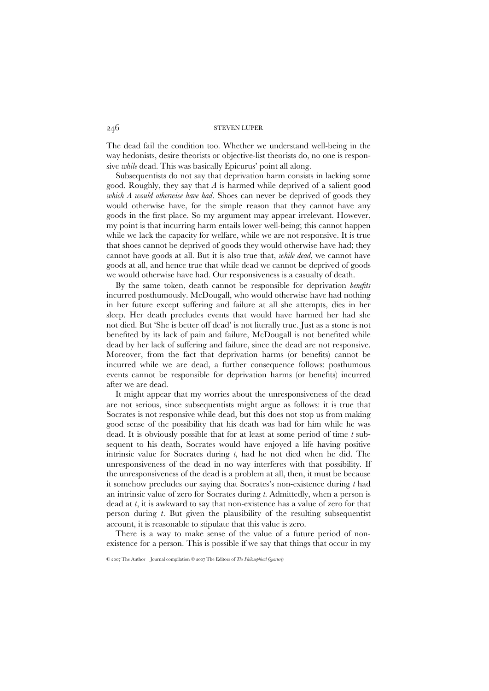The dead fail the condition too. Whether we understand well-being in the way hedonists, desire theorists or objective-list theorists do, no one is responsive *while* dead. This was basically Epicurus' point all along.

Subsequentists do not say that deprivation harm consists in lacking some good. Roughly, they say that *A* is harmed while deprived of a salient good *which A would otherwise have had*. Shoes can never be deprived of goods they would otherwise have, for the simple reason that they cannot have any goods in the first place. So my argument may appear irrelevant. However, my point is that incurring harm entails lower well-being; this cannot happen while we lack the capacity for welfare, while we are not responsive. It is true that shoes cannot be deprived of goods they would otherwise have had; they cannot have goods at all. But it is also true that, *while dead*, we cannot have goods at all, and hence true that while dead we cannot be deprived of goods we would otherwise have had. Our responsiveness is a casualty of death.

By the same token, death cannot be responsible for deprivation *benefits* incurred posthumously. McDougall, who would otherwise have had nothing in her future except suffering and failure at all she attempts, dies in her sleep. Her death precludes events that would have harmed her had she not died. But 'She is better off dead' is not literally true. Just as a stone is not benefited by its lack of pain and failure, McDougall is not benefited while dead by her lack of suffering and failure, since the dead are not responsive. Moreover, from the fact that deprivation harms (or benefits) cannot be incurred while we are dead, a further consequence follows: posthumous events cannot be responsible for deprivation harms (or benefits) incurred after we are dead.

It might appear that my worries about the unresponsiveness of the dead are not serious, since subsequentists might argue as follows: it is true that Socrates is not responsive while dead, but this does not stop us from making good sense of the possibility that his death was bad for him while he was dead. It is obviously possible that for at least at some period of time *t* subsequent to his death, Socrates would have enjoyed a life having positive intrinsic value for Socrates during *t*, had he not died when he did. The unresponsiveness of the dead in no way interferes with that possibility. If the unresponsiveness of the dead is a problem at all, then, it must be because it somehow precludes our saying that Socrates's non-existence during *t* had an intrinsic value of zero for Socrates during *t*. Admittedly, when a person is dead at *t*, it is awkward to say that non-existence has a value of zero for that person during *t*. But given the plausibility of the resulting subsequentist account, it is reasonable to stipulate that this value is zero.

There is a way to make sense of the value of a future period of nonexistence for a person. This is possible if we say that things that occur in my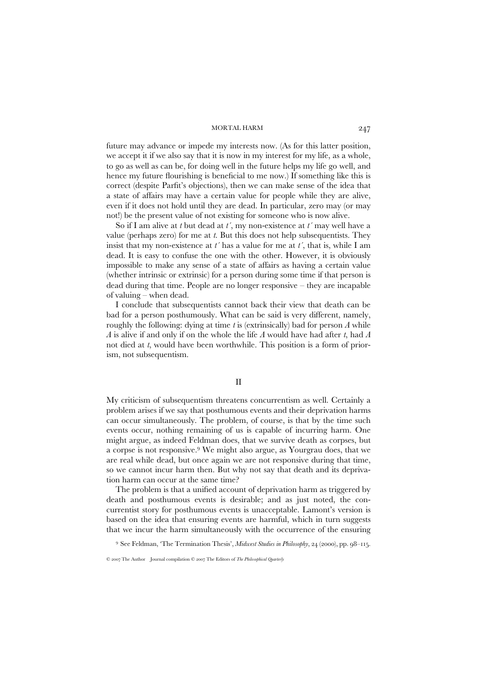future may advance or impede my interests now. (As for this latter position, we accept it if we also say that it is now in my interest for my life, as a whole, to go as well as can be, for doing well in the future helps my life go well, and hence my future flourishing is beneficial to me now.) If something like this is correct (despite Parfit's objections), then we can make sense of the idea that a state of affairs may have a certain value for people while they are alive, even if it does not hold until they are dead. In particular, zero may (or may not!) be the present value of not existing for someone who is now alive.

So if I am alive at *t* but dead at *t´*, my non-existence at *t´* may well have a value (perhaps zero) for me at *t*. But this does not help subsequentists. They insist that my non-existence at *t´* has a value for me at *t´*, that is, while I am dead. It is easy to confuse the one with the other. However, it is obviously impossible to make any sense of a state of affairs as having a certain value (whether intrinsic or extrinsic) for a person during some time if that person is dead during that time. People are no longer responsive – they are incapable of valuing – when dead.

I conclude that subsequentists cannot back their view that death can be bad for a person posthumously. What can be said is very different, namely, roughly the following: dying at time *t* is (extrinsically) bad for person *A* while *A* is alive if and only if on the whole the life *A* would have had after *t*, had *A* not died at *t*, would have been worthwhile. This position is a form of priorism, not subsequentism.

## II

My criticism of subsequentism threatens concurrentism as well. Certainly a problem arises if we say that posthumous events and their deprivation harms can occur simultaneously. The problem, of course, is that by the time such events occur, nothing remaining of us is capable of incurring harm. One might argue, as indeed Feldman does, that we survive death as corpses, but a corpse is not responsive.9 We might also argue, as Yourgrau does, that we are real while dead, but once again we are not responsive during that time, so we cannot incur harm then. But why not say that death and its deprivation harm can occur at the same time?

The problem is that a unified account of deprivation harm as triggered by death and posthumous events is desirable; and as just noted, the concurrentist story for posthumous events is unacceptable. Lamont's version is based on the idea that ensuring events are harmful, which in turn suggests that we incur the harm simultaneously with the occurrence of the ensuring

<sup>9</sup> See Feldman, 'The Termination Thesis', *Midwest Studies in Philosophy*, 24 (2000), pp. 98-115.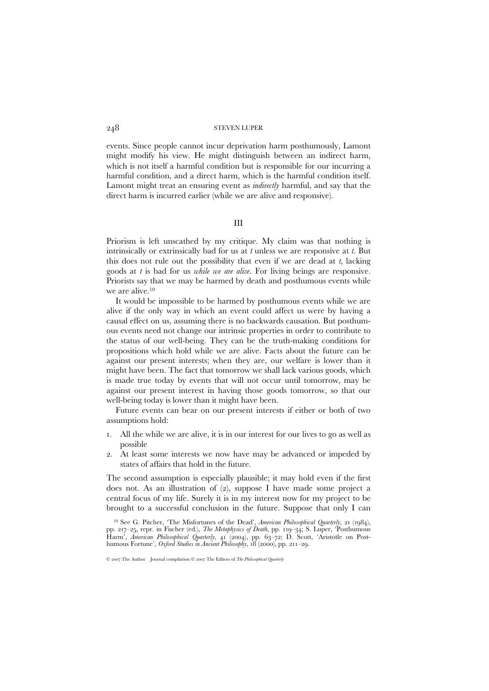events. Since people cannot incur deprivation harm posthumously, Lamont might modify his view. He might distinguish between an indirect harm, which is not itself a harmful condition but is responsible for our incurring a harmful condition, and a direct harm, which is the harmful condition itself. Lamont might treat an ensuring event as *indirectly* harmful, and say that the direct harm is incurred earlier (while we are alive and responsive).

# III

Priorism is left unscathed by my critique. My claim was that nothing is intrinsically or extrinsically bad for us at *t* unless we are responsive at *t*. But this does not rule out the possibility that even if we are dead at *t*, lacking goods at *t* is bad for us *while we are alive*. For living beings are responsive. Priorists say that we may be harmed by death and posthumous events while we are alive.<sup>10</sup>

It would be impossible to be harmed by posthumous events while we are alive if the only way in which an event could affect us were by having a causal effect on us, assuming there is no backwards causation. But posthumous events need not change our intrinsic properties in order to contribute to the status of our well-being. They can be the truth-making conditions for propositions which hold while we are alive. Facts about the future can be against our present interests; when they are, our welfare is lower than it might have been. The fact that tomorrow we shall lack various goods, which is made true today by events that will not occur until tomorrow, may be against our present interest in having those goods tomorrow, so that our well-being today is lower than it might have been.

Future events can bear on our present interests if either or both of two assumptions hold:

- . All the while we are alive, it is in our interest for our lives to go as well as possible
- . At least some interests we now have may be advanced or impeded by states of affairs that hold in the future.

The second assumption is especially plausible; it may hold even if the first does not. As an illustration of  $(2)$ , suppose I have made some project a central focus of my life. Surely it is in my interest now for my project to be brought to a successful conclusion in the future. Suppose that only I can

<sup>&</sup>lt;sup>10</sup> See G. Pitcher, 'The Misfortunes of the Dead', *American Philosophical Quarterly*, 21 (1984), pp. 217–25, repr. in Fischer (ed.), *The Metaphysics of Death*, pp. 119–34; S. Luper, 'Posthumous Harm', *American Philosophical Quarterly*, 41 (2004), pp. 63-72; D. Scott, 'Aristotle on Posthumous Fortune', *Oxford Studies in Ancient Philosophy*, 18 (2000), pp. 211-29.

<sup>© 2007</sup> The Author Journal compilation © 2007 The Editors of *The Philosophical Quarterly*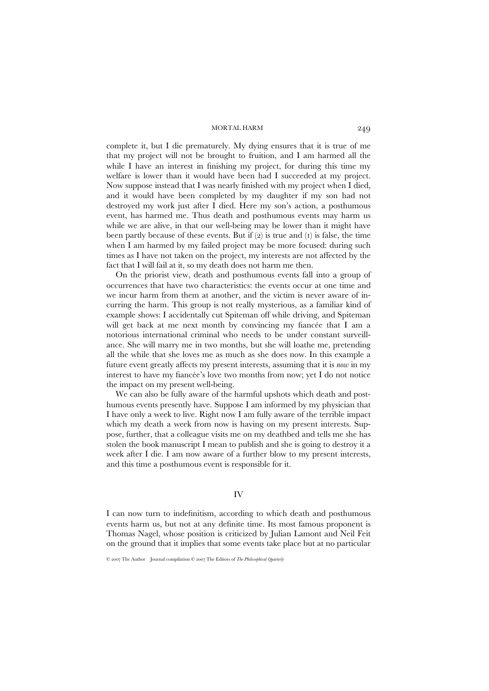complete it, but I die prematurely. My dying ensures that it is true of me that my project will not be brought to fruition, and I am harmed all the while I have an interest in finishing my project, for during this time my welfare is lower than it would have been had I succeeded at my project. Now suppose instead that I was nearly finished with my project when I died, and it would have been completed by my daughter if my son had not destroyed my work just after I died. Here my son's action, a posthumous event, has harmed me. Thus death and posthumous events may harm us while we are alive, in that our well-being may be lower than it might have been partly because of these events. But if  $(2)$  is true and  $(1)$  is false, the time when I am harmed by my failed project may be more focused: during such times as I have not taken on the project, my interests are not affected by the fact that I will fail at it, so my death does not harm me then.

On the priorist view, death and posthumous events fall into a group of occurrences that have two characteristics: the events occur at one time and we incur harm from them at another, and the victim is never aware of incurring the harm. This group is not really mysterious, as a familiar kind of example shows: I accidentally cut Spiteman off while driving, and Spiteman will get back at me next month by convincing my fiancée that I am a notorious international criminal who needs to be under constant surveillance. She will marry me in two months, but she will loathe me, pretending all the while that she loves me as much as she does now. In this example a future event greatly affects my present interests, assuming that it is *now* in my interest to have my fiancée's love two months from now; yet I do not notice the impact on my present well-being.

We can also be fully aware of the harmful upshots which death and posthumous events presently have. Suppose I am informed by my physician that I have only a week to live. Right now I am fully aware of the terrible impact which my death a week from now is having on my present interests. Suppose, further, that a colleague visits me on my deathbed and tells me she has stolen the book manuscript I mean to publish and she is going to destroy it a week after I die. I am now aware of a further blow to my present interests, and this time a posthumous event is responsible for it.

### IV

I can now turn to indefinitism, according to which death and posthumous events harm us, but not at any definite time. Its most famous proponent is Thomas Nagel, whose position is criticized by Julian Lamont and Neil Feit on the ground that it implies that some events take place but at no particular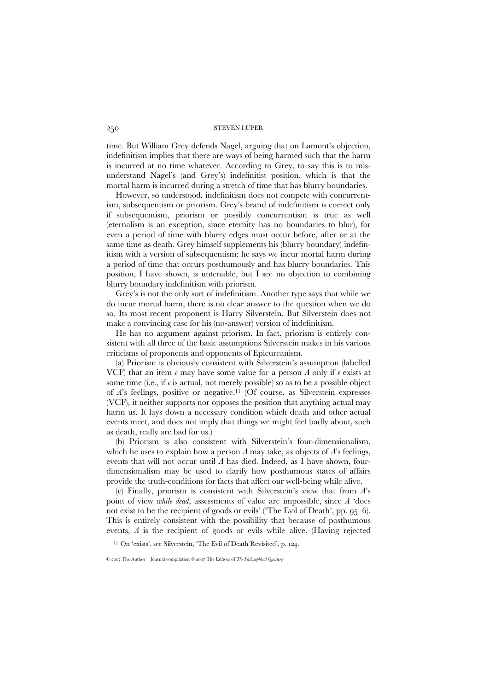time. But William Grey defends Nagel, arguing that on Lamont's objection, indefinitism implies that there are ways of being harmed such that the harm is incurred at no time whatever. According to Grey, to say this is to misunderstand Nagel's (and Grey's) indefinitist position, which is that the mortal harm is incurred during a stretch of time that has blurry boundaries.

However, so understood, indefinitism does not compete with concurrentism, subsequentism or priorism. Grey's brand of indefinitism is correct only if subsequentism, priorism or possibly concurrentism is true as well (eternalism is an exception, since eternity has no boundaries to blur), for even a period of time with blurry edges must occur before, after or at the same time as death. Grey himself supplements his (blurry boundary) indefinitism with a version of subsequentism: he says we incur mortal harm during a period of time that occurs posthumously and has blurry boundaries. This position, I have shown, is untenable, but I see no objection to combining blurry boundary indefinitism with priorism.

Grey's is not the only sort of indefinitism. Another type says that while we do incur mortal harm, there is no clear answer to the question when we do so. Its most recent proponent is Harry Silverstein. But Silverstein does not make a convincing case for his (no-answer) version of indefinitism.

He has no argument against priorism. In fact, priorism is entirely consistent with all three of the basic assumptions Silverstein makes in his various criticisms of proponents and opponents of Epicureanism.

(a) Priorism is obviously consistent with Silverstein's assumption (labelled VCF) that an item *e* may have some value for a person *A* only if *e* exists at some time (i.e., if *e* is actual, not merely possible) so as to be a possible object of *A*'s feelings, positive or negative.11 (Of course, as Silverstein expresses (VCF), it neither supports nor opposes the position that anything actual may harm us. It lays down a necessary condition which death and other actual events meet, and does not imply that things we might feel badly about, such as death, really are bad for us.)

(b) Priorism is also consistent with Silverstein's four-dimensionalism, which he uses to explain how a person *A* may take, as objects of *A*'s feelings, events that will not occur until *A* has died. Indeed, as I have shown, fourdimensionalism may be used to clarify how posthumous states of affairs provide the truth-conditions for facts that affect our well-being while alive.

(c) Finally, priorism is consistent with Silverstein's view that from *A*'s point of view *while dead*, assessments of value are impossible, since *A* 'does not exist to be the recipient of goods or evils' (The Evil of Death', pp.  $q_5=6$ ). This is entirely consistent with the possibility that because of posthumous events, *A* is the recipient of goods or evils while alive. (Having rejected

<sup>11</sup> On 'exists', see Silverstein, 'The Evil of Death Revisited', p. 124.